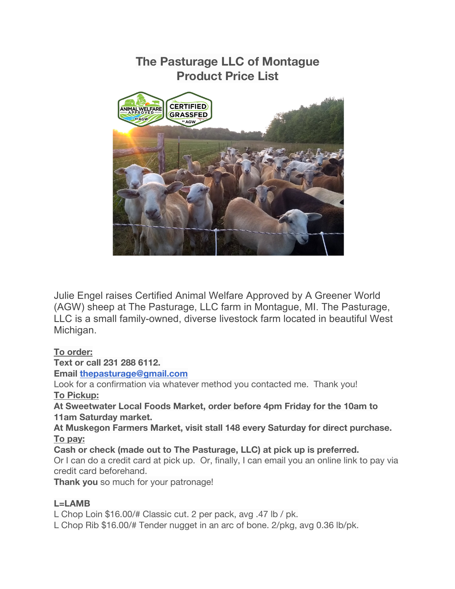

Julie Engel raises Certified Animal Welfare Approved by A Greener World (AGW) sheep at The Pasturage, LLC farm in Montague, MI. The Pasturage, LLC is a small family-owned, diverse livestock farm located in beautiful West Michigan.

## **To order:**

**Text or call 231 288 6112.**

**Email thepasturage@gmail.com**

Look for a confirmation via whatever method you contacted me. Thank you! **To Pickup:**

**At Sweetwater Local Foods Market, order before 4pm Friday for the 10am to 11am Saturday market.**

**At Muskegon Farmers Market, visit stall 148 every Saturday for direct purchase. To pay:**

**Cash or check (made out to The Pasturage, LLC) at pick up is preferred.** Or I can do a credit card at pick up. Or, finally, I can email you an online link to pay via credit card beforehand.

**Thank you** so much for your patronage!

## **L=LAMB**

L Chop Loin \$16.00/# Classic cut. 2 per pack, avg .47 lb / pk.

L Chop Rib \$16.00/# Tender nugget in an arc of bone. 2/pkg, avg 0.36 lb/pk.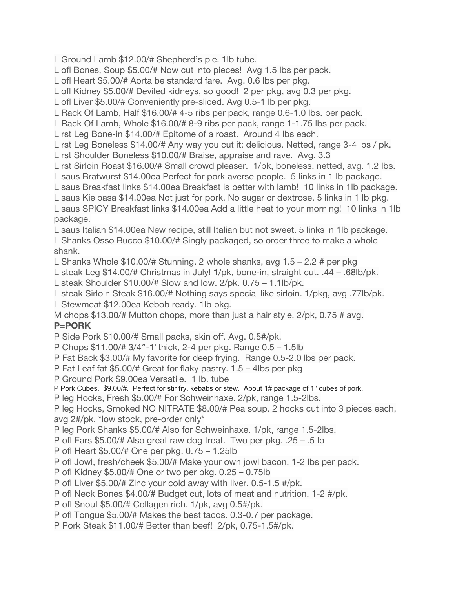L Ground Lamb \$12.00/# Shepherd's pie. 1lb tube.

L ofl Bones, Soup \$5.00/# Now cut into pieces! Avg 1.5 lbs per pack.

L ofl Heart \$5.00/# Aorta be standard fare. Avg. 0.6 lbs per pkg.

L ofl Kidney \$5.00/# Deviled kidneys, so good! 2 per pkg, avg 0.3 per pkg.

L ofl Liver \$5.00/# Conveniently pre-sliced. Avg 0.5-1 lb per pkg.

L Rack Of Lamb, Half \$16.00/# 4-5 ribs per pack, range 0.6-1.0 lbs. per pack.

L Rack Of Lamb, Whole \$16.00/# 8-9 ribs per pack, range 1-1.75 lbs per pack.

L rst Leg Bone-in \$14.00/# Epitome of a roast. Around 4 lbs each.

L rst Leg Boneless \$14.00/# Any way you cut it: delicious. Netted, range 3-4 lbs / pk.

L rst Shoulder Boneless \$10.00/# Braise, appraise and rave. Avg. 3.3

L rst Sirloin Roast \$16.00/# Small crowd pleaser. 1/pk, boneless, netted, avg. 1.2 lbs.

L saus Bratwurst \$14.00ea Perfect for pork averse people. 5 links in 1 lb package.

L saus Breakfast links \$14.00ea Breakfast is better with lamb! 10 links in 1lb package.

L saus Kielbasa \$14.00ea Not just for pork. No sugar or dextrose. 5 links in 1 lb pkg.

L saus SPICY Breakfast links \$14.00ea Add a little heat to your morning! 10 links in 1lb package.

L saus Italian \$14.00ea New recipe, still Italian but not sweet. 5 links in 1lb package. L Shanks Osso Bucco \$10.00/# Singly packaged, so order three to make a whole shank.

L Shanks Whole \$10.00/# Stunning. 2 whole shanks, avg 1.5 – 2.2 # per pkg

L steak Leg \$14.00/# Christmas in July! 1/pk, bone-in, straight cut. .44 – .68lb/pk.

L steak Shoulder \$10.00/# Slow and low. 2/pk. 0.75 – 1.1lb/pk.

L steak Sirloin Steak \$16.00/# Nothing says special like sirloin. 1/pkg, avg .77lb/pk.

L Stewmeat \$12.00ea Kebob ready. 1lb pkg.

M chops \$13.00/# Mutton chops, more than just a hair style. 2/pk, 0.75 # avg.

## **P=PORK**

P Side Pork \$10.00/# Small packs, skin off. Avg. 0.5#/pk.

P Chops \$11.00/# 3/4″-1"thick, 2-4 per pkg. Range 0.5 – 1.5lb

P Fat Back \$3.00/# My favorite for deep frying. Range 0.5-2.0 lbs per pack.

P Fat Leaf fat \$5.00/# Great for flaky pastry. 1.5 – 4lbs per pkg

P Ground Pork \$9.00ea Versatile. 1 lb. tube

P Pork Cubes. \$9.00/#. Perfect for stir fry, kebabs or stew. About 1# package of 1" cubes of pork.

P leg Hocks, Fresh \$5.00/# For Schweinhaxe. 2/pk, range 1.5-2lbs.

P leg Hocks, Smoked NO NITRATE \$8.00/# Pea soup. 2 hocks cut into 3 pieces each, avg 2#/pk. \*low stock, pre-order only\*

P leg Pork Shanks \$5.00/# Also for Schweinhaxe. 1/pk, range 1.5-2lbs.

P ofl Ears \$5.00/# Also great raw dog treat. Two per pkg. .25 – .5 lb

P ofl Heart \$5.00/# One per pkg. 0.75 – 1.25lb

P ofl Jowl, fresh/cheek \$5.00/# Make your own jowl bacon. 1-2 lbs per pack.

P ofl Kidney \$5.00/# One or two per pkg. 0.25 – 0.75lb

P ofl Liver \$5.00/# Zinc your cold away with liver. 0.5-1.5 #/pk.

P ofl Neck Bones \$4.00/# Budget cut, lots of meat and nutrition. 1-2 #/pk.

P ofl Snout \$5.00/# Collagen rich. 1/pk, avg 0.5#/pk.

P ofl Tongue \$5.00/# Makes the best tacos. 0.3-0.7 per package.

P Pork Steak \$11.00/# Better than beef! 2/pk, 0.75-1.5#/pk.